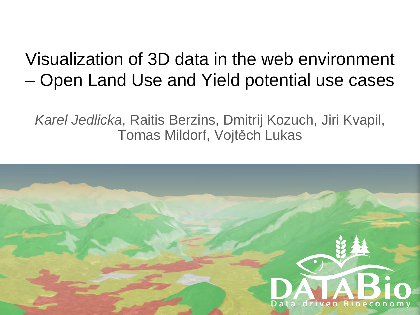#### Visualization of 3D data in the web environment – Open Land Use and Yield potential use cases

*Karel Jedlicka*, Raitis Berzins, Dmitrij Kozuch, Jiri Kvapil, Tomas Mildorf, Vojtěch Lukas

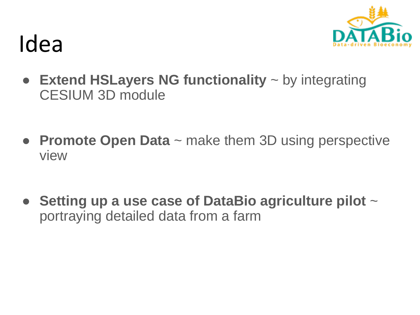

#### Idea

- **Extend HSLayers NG functionality** ~ by integrating CESIUM 3D module
- **Promote Open Data** ~ make them 3D using perspective view
- **Setting up a use case of DataBio agriculture pilot** ~ portraying detailed data from a farm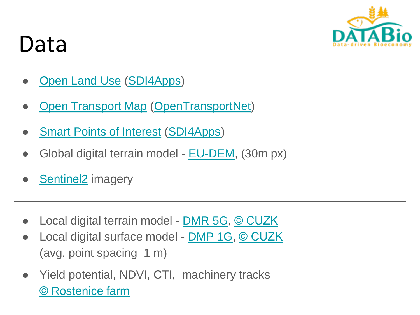

# Data

- **[Open Land Use](http://sdi4apps.eu/open_land_use/) [\(SDI4Apps](http://sdi4apps.eu/))**
- **[Open Transport Map](http://opentransportmap.info/) [\(OpenTransportNet](http://opentransportnet.eu/))**
- **[Smart Points of Interest](http://sdi4apps.eu/spoi/) [\(SDI4Apps\)](http://sdi4apps.eu/)**
- Global digital terrain model [EU-DEM](http://land.copernicus.eu/pan-european/satellite-derived-products/eu-dem/eu-dem-v1.1), (30m px)
- **[Sentinel2](https://sentinel.esa.int/web/sentinel/missions/sentinel-2)** imagery
- Local digital terrain model **[DMR 5G](https://geoportal.cuzk.cz/(S(003b0xfl0okdummli1kh10c4))/Default.aspx?mode=TextMeta&side=vyskopis&metadataID=CZ-CUZK-DMR5G-V&head_tab=sekce-02-gp&menu=302), [© CUZK](http://geoportal.cuzk.cz/Dokumenty/Podminky.pdf)**
- Local digital surface model **[DMP 1G,](http://geoportal.cuzk.cz/(S(zah21zbynesr5xorlpqeepvg))/Default.aspx?lng=CZ&mode=TextMeta&side=vyskopis&metadataID=CZ-CUZK-DMP1G-V&mapid=8&menu=303) [© CUZK](http://geoportal.cuzk.cz/Dokumenty/Podminky.pdf)** (avg. point spacing 1 m)
- Yield potential, NDVI, CTI, machinery tracks [© Rostenice](http://www.rostenice.eu/) farm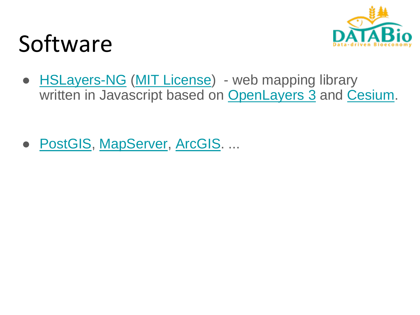# Software

• **[HSLayers-NG](https://ng.hslayers.org/) ([MIT License](https://github.com/hslayers/hslayers-ng/blob/master/LICENSE))** - web mapping library written in Javascript based on [OpenLayers 3](https://openlayers.org/) and [Cesium](https://cesiumjs.org/).

● [PostGIS](http://postgis.net/), [MapServer,](http://mapserver.org/) [ArcGIS](http://www.esri.com/arcgis/about-arcgis). ...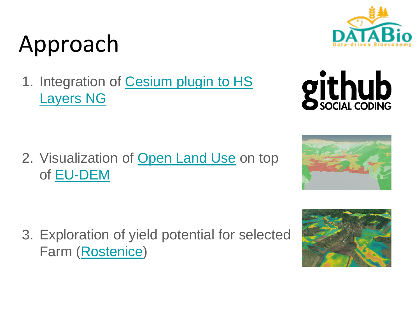# Approach

1. [Integration of Cesium plugin to HS](https://github.com/hslayers/hslayers-ng/tree/master/components/cesium) Layers NG

2. Visualization of [Open Land Use](http://sdi4apps.eu/open_land_use/) on top of [EU-DEM](http://land.copernicus.eu/pan-european/satellite-derived-products/eu-dem/eu-dem-v1.1)

3. Exploration of yield potential for selected Farm [\(Rostenice](http://www.rostenice.eu/))







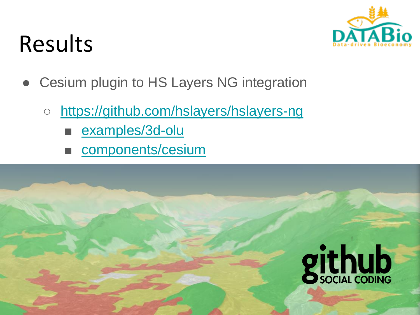## Results

- Cesium plugin to HS Layers NG integration
	- <https://github.com/hslayers/hslayers-ng>
		- [examples/3d-olu](https://github.com/hslayers/hslayers-ng/tree/master/examples/3d-olu)
		- [components/cesium](https://github.com/hslayers/hslayers-ng/tree/master/components/cesium)

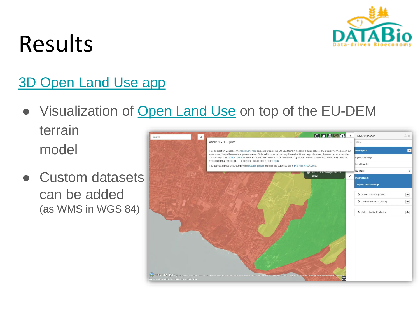

## Results

#### [3D Open Land Use app](http://ng.hslayers.org/examples/3d-olu)

● Visualization of [Open Land Use](http://sdi4apps.eu/open_land_use/) on top of the EU-DEM

terrain model

● Custom datasets can be added (as WMS in WGS 84)

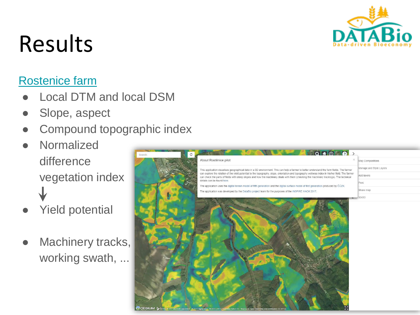

# Results

#### [Rostenice](http://ng.hslayers.org/examples/rostenice/) farm

- Local DTM and local DSM
- Slope, aspect
- Compound topographic index
- **Normalized** difference vegetation index
- **Yield potential**
- Machinery tracks, working swath, ...

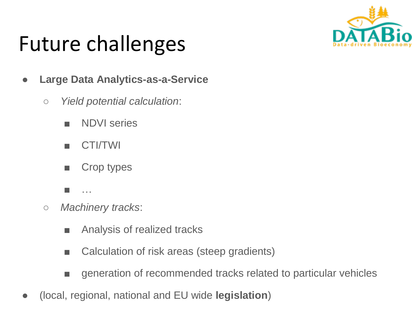

#### Future challenges

- **Large Data Analytics-as-a-Service**
	- *Yield potential calculation*:
		- NDVI series
		- CTI/TWI
		- Crop types
		- …
	- *Machinery tracks*:
		- Analysis of realized tracks
		- Calculation of risk areas (steep gradients)
		- generation of recommended tracks related to particular vehicles
- (local, regional, national and EU wide **legislation**)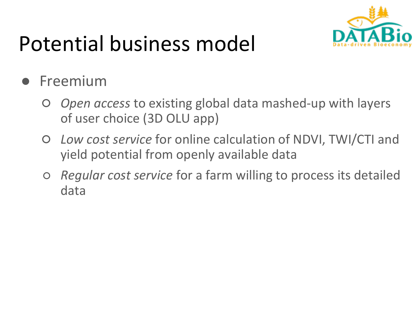

## Potential business model

#### **Freemium**

- *Open access* to existing global data mashed-up with layers of user choice (3D OLU app)
- *Low cost service* for online calculation of NDVI, TWI/CTI and yield potential from openly available data
- *Regular cost service* for a farm willing to process its detailed data